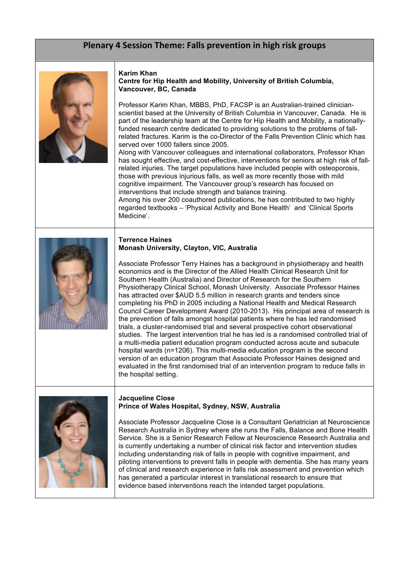# Plenary 4 Session Theme: Falls prevention in high risk groups



#### **Karim Khan Centre for Hip Health and Mobility, University of British Columbia, Vancouver, BC, Canada**

Professor Karim Khan, MBBS, PhD, FACSP is an Australian-trained clinicianscientist based at the University of British Columbia in Vancouver, Canada. He is part of the leadership team at the Centre for Hip Health and Mobility, a nationallyfunded research centre dedicated to providing solutions to the problems of fallrelated fractures. Karim is the co-Director of the Falls Prevention Clinic which has served over 1000 fallers since 2005.

Along with Vancouver colleagues and international collaborators, Professor Khan has sought effective, and cost-effective, interventions for seniors at high risk of fallrelated injuries. The target populations have included people with osteoporosis, those with previous injurious falls, as well as more recently those with mild cognitive impairment. The Vancouver group's research has focused on interventions that include strength and balance training. Among his over 200 coauthored publications, he has contributed to two highly

regarded textbooks – 'Physical Activity and Bone Health' and 'Clinical Sports Medicine'.

#### **Terrence Haines Monash University, Clayton, VIC, Australia**



Associate Professor Terry Haines has a background in physiotherapy and health economics and is the Director of the Allied Health Clinical Research Unit for Southern Health (Australia) and Director of Research for the Southern Physiotherapy Clinical School, Monash University. Associate Professor Haines has attracted over \$AUD 5.5 million in research grants and tenders since completing his PhD in 2005 including a National Health and Medical Research Council Career Development Award (2010-2013). His principal area of research is the prevention of falls amongst hospital patients where he has led randomised trials, a cluster-randomised trial and several prospective cohort observational studies. The largest intervention trial he has led is a randomised controlled trial of a multi-media patient education program conducted across acute and subacute hospital wards (n=1206). This multi-media education program is the second version of an education program that Associate Professor Haines designed and evaluated in the first randomised trial of an intervention program to reduce falls in the hospital setting.



#### **Jacqueline Close Prince of Wales Hospital, Sydney, NSW, Australia**

Associate Professor Jacqueline Close is a Consultant Geriatrician at Neuroscience Research Australia in Sydney where she runs the Falls, Balance and Bone Health Service. She is a Senior Research Fellow at Neuroscience Research Australia and is currently undertaking a number of clinical risk factor and intervention studies including understanding risk of falls in people with cognitive impairment, and piloting interventions to prevent falls in people with dementia. She has many years of clinical and research experience in falls risk assessment and prevention which has generated a particular interest in translational research to ensure that evidence based interventions reach the intended target populations.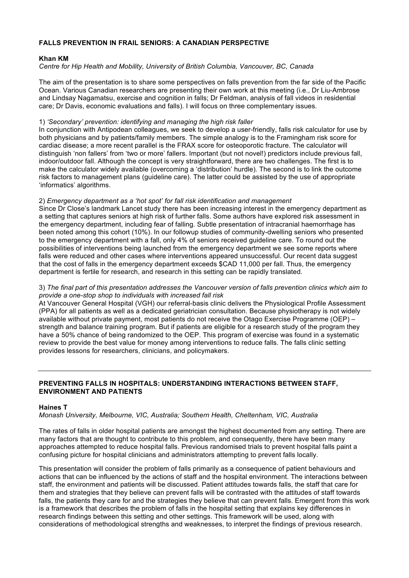# **FALLS PREVENTION IN FRAIL SENIORS: A CANADIAN PERSPECTIVE**

## **Khan KM**

*Centre for Hip Health and Mobility, University of British Columbia, Vancouver, BC, Canada*

The aim of the presentation is to share some perspectives on falls prevention from the far side of the Pacific Ocean. Various Canadian researchers are presenting their own work at this meeting (i.e., Dr Liu-Ambrose and Lindsay Nagamatsu, exercise and cognition in falls; Dr Feldman, analysis of fall videos in residential care; Dr Davis, economic evaluations and falls). I will focus on three complementary issues.

## 1) *'Secondary' prevention: identifying and managing the high risk faller*

In conjunction with Antipodean colleagues, we seek to develop a user-friendly, falls risk calculator for use by both physicians and by patients/family members. The simple analogy is to the Framingham risk score for cardiac disease; a more recent parallel is the FRAX score for osteoporotic fracture. The calculator will distinguish 'non fallers' from 'two or more' fallers. Important (but not novel!) predictors include previous fall, indoor/outdoor fall. Although the concept is very straightforward, there are two challenges. The first is to make the calculator widely available (overcoming a 'distribution' hurdle). The second is to link the outcome risk factors to management plans (guideline care). The latter could be assisted by the use of appropriate 'informatics' algorithms.

# 2) *Emergency department as a 'hot spot' for fall risk identification and management*

Since Dr Close's landmark Lancet study there has been increasing interest in the emergency department as a setting that captures seniors at high risk of further falls. Some authors have explored risk assessment in the emergency department, including fear of falling. Subtle presentation of intracranial haemorrhage has been noted among this cohort (10%). In our followup studies of community-dwelling seniors who presented to the emergency department with a fall, only 4% of seniors received guideline care. To round out the possibilities of interventions being launched from the emergency department we see some reports where falls were reduced and other cases where interventions appeared unsuccessful. Our recent data suggest that the cost of falls in the emergency department exceeds \$CAD 11,000 per fall. Thus, the emergency department is fertile for research, and research in this setting can be rapidly translated.

#### 3) *The final part of this presentation addresses the Vancouver version of falls prevention clinics which aim to provide a one-stop shop to individuals with increased fall risk*

At Vancouver General Hospital (VGH) our referral-basis clinic delivers the Physiological Profile Assessment (PPA) for all patients as well as a dedicated geriatrician consultation. Because physiotherapy is not widely available without private payment, most patients do not receive the Otago Exercise Programme (OEP) – strength and balance training program. But if patients are eligible for a research study of the program they have a 50% chance of being randomized to the OEP. This program of exercise was found in a systematic review to provide the best value for money among interventions to reduce falls. The falls clinic setting provides lessons for researchers, clinicians, and policymakers.

# **PREVENTING FALLS IN HOSPITALS: UNDERSTANDING INTERACTIONS BETWEEN STAFF, ENVIRONMENT AND PATIENTS**

## **Haines T**

*Monash University, Melbourne, VIC, Australia; Southern Health, Cheltenham, VIC, Australia*

The rates of falls in older hospital patients are amongst the highest documented from any setting. There are many factors that are thought to contribute to this problem, and consequently, there have been many approaches attempted to reduce hospital falls. Previous randomised trials to prevent hospital falls paint a confusing picture for hospital clinicians and administrators attempting to prevent falls locally.

This presentation will consider the problem of falls primarily as a consequence of patient behaviours and actions that can be influenced by the actions of staff and the hospital environment. The interactions between staff, the environment and patients will be discussed. Patient attitudes towards falls, the staff that care for them and strategies that they believe can prevent falls will be contrasted with the attitudes of staff towards falls, the patients they care for and the strategies they believe that can prevent falls. Emergent from this work is a framework that describes the problem of falls in the hospital setting that explains key differences in research findings between this setting and other settings. This framework will be used, along with considerations of methodological strengths and weaknesses, to interpret the findings of previous research.